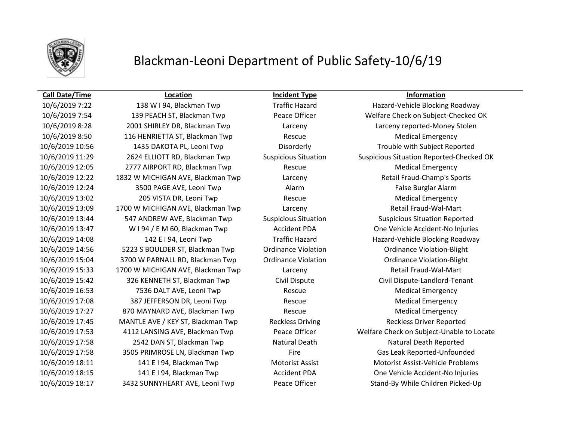

# Blackman-Leoni Department of Public Safety-10/6/19

10/6/2019 8:28 2001 SHIRLEY DR, Blackman Twp Larceny Larceny reported-Money Stolen 10/6/2019 8:50 116 HENRIETTA ST, Blackman Twp Rescue Medical Emergency 10/6/2019 10:56 1435 DAKOTA PL, Leoni Twp Disorderly Trouble with Subject Reported 10/6/2019 12:05 2777 AIRPORT RD, Blackman Twp Rescue Medical Emergency 10/6/2019 12:22 1832 W MICHIGAN AVE, Blackman Twp Larceny Larceny Retail Fraud-Champ's Sports 10/6/2019 12:24 3500 PAGE AVE, Leoni Twp Alarm Alarm Alarm False Burglar Alarm 10/6/2019 13:02 205 VISTA DR, Leoni Twp Rescue Rescue Medical Emergency 10/6/2019 13:09 1700 W MICHIGAN AVE, Blackman Twp Larceny Retail Fraud-Wal-Mart 10/6/2019 13:44 547 ANDREW AVE, Blackman Twp Suspicious Situation Suspicious Situation Reported 10/6/2019 14:56 5223 S BOULDER ST, Blackman Twp Ordinance Violation Ordinance Violation-Blight 10/6/2019 15:04 3700 W PARNALL RD, Blackman Twp Ordinance Violation Ordinance Violation-Blight 10/6/2019 15:33 1700 W MICHIGAN AVE, Blackman Twp Larceny Retail Fraud-Wal-Mart 10/6/2019 15:42 326 KENNETH ST, Blackman Twp Civil Dispute Civil Dispute-Landlord-Tenant 10/6/2019 16:53 7536 DALT AVE, Leoni Twp Rescue Medical Emergency 10/6/2019 17:08 387 JEFFERSON DR, Leoni Twp Rescue Rescue Medical Emergency 10/6/2019 17:27 870 MAYNARD AVE, Blackman Twp Rescue Medical Emergency 10/6/2019 17:45 MANTLE AVE / KEY ST, Blackman Twp Reckless Driving Reckless Driver Reported 10/6/2019 17:58 2542 DAN ST, Blackman Twp Natural Death Natural Death Reported 10/6/2019 17:58 3505 PRIMROSE LN, Blackman Twp Fire Gas Leak Reported-Unfounded 10/6/2019 18:11 141 E I 94, Blackman Twp Motorist Assist Motorist Assist-Vehicle Problems 10/6/2019 18:17 3432 SUNNYHEART AVE, Leoni Twp Peace Officer Stand-By While Children Picked-Up

**Call Date/Time Location Incident Type Information**

10/6/2019 7:22 138 W I 94, Blackman Twp Traffic Hazard Hazard-Vehicle Blocking Roadway 10/6/2019 7:54 139 PEACH ST, Blackman Twp Peace Officer Welfare Check on Subject-Checked OK 10/6/2019 11:29 2624 ELLIOTT RD, Blackman Twp Suspicious Situation Suspicious Situation Reported-Checked OK 10/6/2019 13:47 W I 94 / E M 60, Blackman Twp Accident PDA One Vehicle Accident-No Injuries 10/6/2019 14:08 142 E I 94, Leoni Twp Traffic Hazard Hazard-Vehicle Blocking Roadway 10/6/2019 17:53 4112 LANSING AVE, Blackman Twp Peace Officer Welfare Check on Subject-Unable to Locate 10/6/2019 18:15 141 E I 94, Blackman Twp Accident PDA One Vehicle Accident-No Injuries